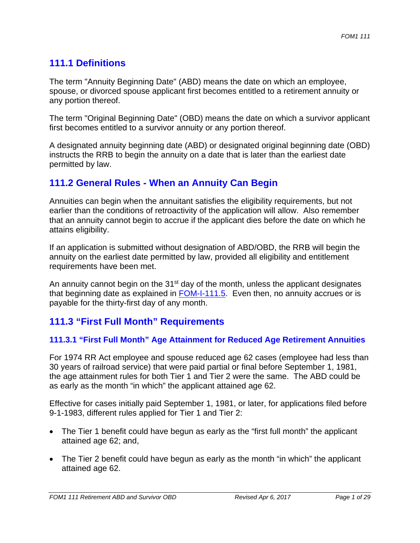# **111.1 Definitions**

The term "Annuity Beginning Date" (ABD) means the date on which an employee, spouse, or divorced spouse applicant first becomes entitled to a retirement annuity or any portion thereof.

The term "Original Beginning Date" (OBD) means the date on which a survivor applicant first becomes entitled to a survivor annuity or any portion thereof.

A designated annuity beginning date (ABD) or designated original beginning date (OBD) instructs the RRB to begin the annuity on a date that is later than the earliest date permitted by law.

## **111.2 General Rules - When an Annuity Can Begin**

Annuities can begin when the annuitant satisfies the eligibility requirements, but not earlier than the conditions of retroactivity of the application will allow. Also remember that an annuity cannot begin to accrue if the applicant dies before the date on which he attains eligibility.

If an application is submitted without designation of ABD/OBD, the RRB will begin the annuity on the earliest date permitted by law, provided all eligibility and entitlement requirements have been met.

An annuity cannot begin on the 31<sup>st</sup> day of the month, unless the applicant designates that beginning date as explained in  $FOM-I-111.5$ . Even then, no annuity accrues or is payable for the thirty-first day of any month.

# **111.3 "First Full Month" Requirements**

## **111.3.1 "First Full Month" Age Attainment for Reduced Age Retirement Annuities**

For 1974 RR Act employee and spouse reduced age 62 cases (employee had less than 30 years of railroad service) that were paid partial or final before September 1, 1981, the age attainment rules for both Tier 1 and Tier 2 were the same. The ABD could be as early as the month "in which" the applicant attained age 62.

Effective for cases initially paid September 1, 1981, or later, for applications filed before 9-1-1983, different rules applied for Tier 1 and Tier 2:

- The Tier 1 benefit could have begun as early as the "first full month" the applicant attained age 62; and,
- The Tier 2 benefit could have begun as early as the month "in which" the applicant attained age 62.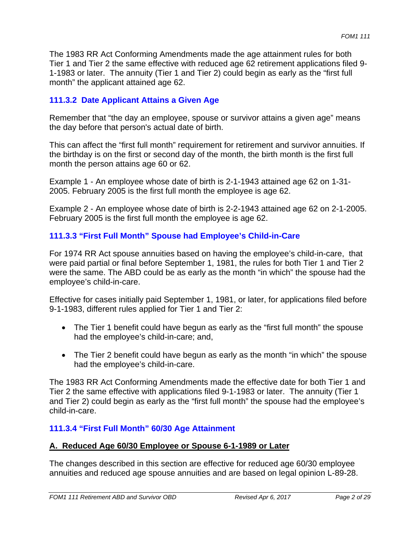The 1983 RR Act Conforming Amendments made the age attainment rules for both Tier 1 and Tier 2 the same effective with reduced age 62 retirement applications filed 9- 1-1983 or later. The annuity (Tier 1 and Tier 2) could begin as early as the "first full month" the applicant attained age 62.

## **111.3.2 Date Applicant Attains a Given Age**

Remember that "the day an employee, spouse or survivor attains a given age" means the day before that person's actual date of birth.

This can affect the "first full month" requirement for retirement and survivor annuities. If the birthday is on the first or second day of the month, the birth month is the first full month the person attains age 60 or 62.

Example 1 - An employee whose date of birth is 2-1-1943 attained age 62 on 1-31- 2005. February 2005 is the first full month the employee is age 62.

Example 2 - An employee whose date of birth is 2-2-1943 attained age 62 on 2-1-2005. February 2005 is the first full month the employee is age 62.

## **111.3.3 "First Full Month" Spouse had Employee's Child-in-Care**

For 1974 RR Act spouse annuities based on having the employee's child-in-care, that were paid partial or final before September 1, 1981, the rules for both Tier 1 and Tier 2 were the same. The ABD could be as early as the month "in which" the spouse had the employee's child-in-care.

Effective for cases initially paid September 1, 1981, or later, for applications filed before 9-1-1983, different rules applied for Tier 1 and Tier 2:

- The Tier 1 benefit could have begun as early as the "first full month" the spouse had the employee's child-in-care; and,
- The Tier 2 benefit could have begun as early as the month "in which" the spouse had the employee's child-in-care.

The 1983 RR Act Conforming Amendments made the effective date for both Tier 1 and Tier 2 the same effective with applications filed 9-1-1983 or later. The annuity (Tier 1 and Tier 2) could begin as early as the "first full month" the spouse had the employee's child-in-care.

## **111.3.4 "First Full Month" 60/30 Age Attainment**

## **A. Reduced Age 60/30 Employee or Spouse 6-1-1989 or Later**

The changes described in this section are effective for reduced age 60/30 employee annuities and reduced age spouse annuities and are based on legal opinion L-89-28.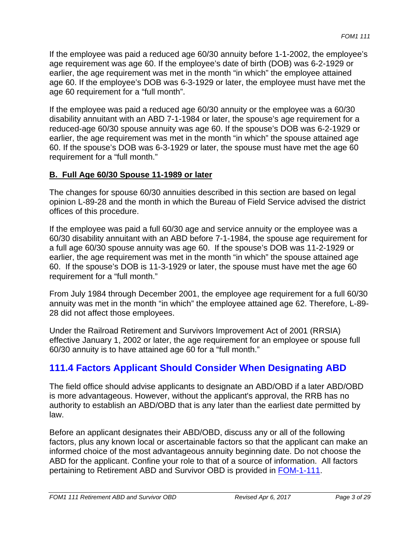If the employee was paid a reduced age 60/30 annuity before 1-1-2002, the employee's age requirement was age 60. If the employee's date of birth (DOB) was 6-2-1929 or earlier, the age requirement was met in the month "in which" the employee attained age 60. If the employee's DOB was 6-3-1929 or later, the employee must have met the age 60 requirement for a "full month".

If the employee was paid a reduced age 60/30 annuity or the employee was a 60/30 disability annuitant with an ABD 7-1-1984 or later, the spouse's age requirement for a reduced-age 60/30 spouse annuity was age 60. If the spouse's DOB was 6-2-1929 or earlier, the age requirement was met in the month "in which" the spouse attained age 60. If the spouse's DOB was 6-3-1929 or later, the spouse must have met the age 60 requirement for a "full month."

### **B. Full Age 60/30 Spouse 11-1989 or later**

The changes for spouse 60/30 annuities described in this section are based on legal opinion L-89-28 and the month in which the Bureau of Field Service advised the district offices of this procedure.

If the employee was paid a full 60/30 age and service annuity or the employee was a 60/30 disability annuitant with an ABD before 7-1-1984, the spouse age requirement for a full age 60/30 spouse annuity was age 60. If the spouse's DOB was 11-2-1929 or earlier, the age requirement was met in the month "in which" the spouse attained age 60. If the spouse's DOB is 11-3-1929 or later, the spouse must have met the age 60 requirement for a "full month."

From July 1984 through December 2001, the employee age requirement for a full 60/30 annuity was met in the month "in which" the employee attained age 62. Therefore, L-89- 28 did not affect those employees.

Under the Railroad Retirement and Survivors Improvement Act of 2001 (RRSIA) effective January 1, 2002 or later, the age requirement for an employee or spouse full 60/30 annuity is to have attained age 60 for a "full month."

## **111.4 Factors Applicant Should Consider When Designating ABD**

The field office should advise applicants to designate an ABD/OBD if a later ABD/OBD is more advantageous. However, without the applicant's approval, the RRB has no authority to establish an ABD/OBD that is any later than the earliest date permitted by law.

Before an applicant designates their ABD/OBD, discuss any or all of the following factors, plus any known local or ascertainable factors so that the applicant can make an informed choice of the most advantageous annuity beginning date. Do not choose the ABD for the applicant. Confine your role to that of a source of information. All factors pertaining to Retirement ABD and Survivor OBD is provided in FOM-1-111.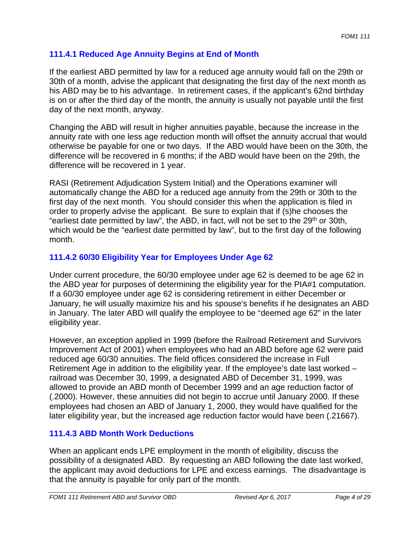## **111.4.1 Reduced Age Annuity Begins at End of Month**

If the earliest ABD permitted by law for a reduced age annuity would fall on the 29th or 30th of a month, advise the applicant that designating the first day of the next month as his ABD may be to his advantage. In retirement cases, if the applicant's 62nd birthday is on or after the third day of the month, the annuity is usually not payable until the first day of the next month, anyway.

Changing the ABD will result in higher annuities payable, because the increase in the annuity rate with one less age reduction month will offset the annuity accrual that would otherwise be payable for one or two days. If the ABD would have been on the 30th, the difference will be recovered in 6 months; if the ABD would have been on the 29th, the difference will be recovered in 1 year.

RASI (Retirement Adjudication System Initial) and the Operations examiner will automatically change the ABD for a reduced age annuity from the 29th or 30th to the first day of the next month. You should consider this when the application is filed in order to properly advise the applicant. Be sure to explain that if (s)he chooses the "earliest date permitted by law", the ABD, in fact, will not be set to the 29<sup>th</sup> or 30th, which would be the "earliest date permitted by law", but to the first day of the following month.

## **111.4.2 60/30 Eligibility Year for Employees Under Age 62**

Under current procedure, the 60/30 employee under age 62 is deemed to be age 62 in the ABD year for purposes of determining the eligibility year for the PIA#1 computation. If a 60/30 employee under age 62 is considering retirement in either December or January, he will usually maximize his and his spouse's benefits if he designates an ABD in January. The later ABD will qualify the employee to be "deemed age 62" in the later eligibility year.

However, an exception applied in 1999 (before the Railroad Retirement and Survivors Improvement Act of 2001) when employees who had an ABD before age 62 were paid reduced age 60/30 annuities. The field offices considered the increase in Full Retirement Age in addition to the eligibility year. If the employee's date last worked – railroad was December 30, 1999, a designated ABD of December 31, 1999, was allowed to provide an ABD month of December 1999 and an age reduction factor of (.2000). However, these annuities did not begin to accrue until January 2000. If these employees had chosen an ABD of January 1, 2000, they would have qualified for the later eligibility year, but the increased age reduction factor would have been (.21667).

## **111.4.3 ABD Month Work Deductions**

When an applicant ends LPE employment in the month of eligibility, discuss the possibility of a designated ABD. By requesting an ABD following the date last worked, the applicant may avoid deductions for LPE and excess earnings. The disadvantage is that the annuity is payable for only part of the month.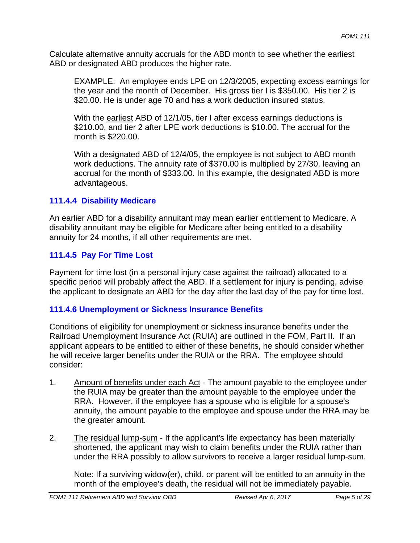Calculate alternative annuity accruals for the ABD month to see whether the earliest ABD or designated ABD produces the higher rate.

EXAMPLE: An employee ends LPE on 12/3/2005, expecting excess earnings for the year and the month of December. His gross tier I is \$350.00. His tier 2 is \$20.00. He is under age 70 and has a work deduction insured status.

With the earliest ABD of 12/1/05, tier I after excess earnings deductions is \$210.00, and tier 2 after LPE work deductions is \$10.00. The accrual for the month is \$220.00.

With a designated ABD of 12/4/05, the employee is not subject to ABD month work deductions. The annuity rate of \$370.00 is multiplied by 27/30, leaving an accrual for the month of \$333.00. In this example, the designated ABD is more advantageous.

### **111.4.4 Disability Medicare**

An earlier ABD for a disability annuitant may mean earlier entitlement to Medicare. A disability annuitant may be eligible for Medicare after being entitled to a disability annuity for 24 months, if all other requirements are met.

### **111.4.5 Pay For Time Lost**

Payment for time lost (in a personal injury case against the railroad) allocated to a specific period will probably affect the ABD. If a settlement for injury is pending, advise the applicant to designate an ABD for the day after the last day of the pay for time lost.

#### **111.4.6 Unemployment or Sickness Insurance Benefits**

Conditions of eligibility for unemployment or sickness insurance benefits under the Railroad Unemployment Insurance Act (RUIA) are outlined in the FOM, Part II. If an applicant appears to be entitled to either of these benefits, he should consider whether he will receive larger benefits under the RUIA or the RRA. The employee should consider:

- 1. Amount of benefits under each Act The amount payable to the employee under the RUIA may be greater than the amount payable to the employee under the RRA. However, if the employee has a spouse who is eligible for a spouse's annuity, the amount payable to the employee and spouse under the RRA may be the greater amount.
- 2. The residual lump-sum If the applicant's life expectancy has been materially shortened, the applicant may wish to claim benefits under the RUIA rather than under the RRA possibly to allow survivors to receive a larger residual lump-sum.

Note: If a surviving widow(er), child, or parent will be entitled to an annuity in the month of the employee's death, the residual will not be immediately payable.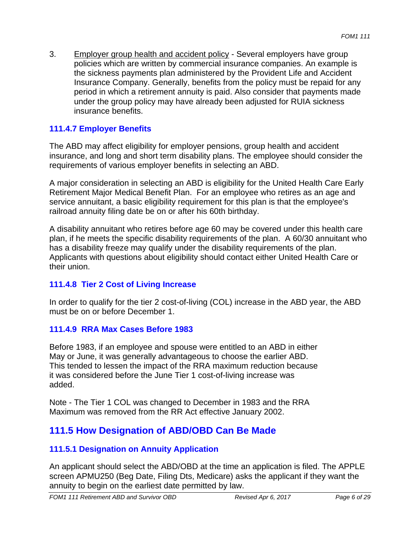3. Employer group health and accident policy - Several employers have group policies which are written by commercial insurance companies. An example is the sickness payments plan administered by the Provident Life and Accident Insurance Company. Generally, benefits from the policy must be repaid for any period in which a retirement annuity is paid. Also consider that payments made under the group policy may have already been adjusted for RUIA sickness insurance benefits.

## **111.4.7 Employer Benefits**

The ABD may affect eligibility for employer pensions, group health and accident insurance, and long and short term disability plans. The employee should consider the requirements of various employer benefits in selecting an ABD.

A major consideration in selecting an ABD is eligibility for the United Health Care Early Retirement Major Medical Benefit Plan. For an employee who retires as an age and service annuitant, a basic eligibility requirement for this plan is that the employee's railroad annuity filing date be on or after his 60th birthday.

A disability annuitant who retires before age 60 may be covered under this health care plan, if he meets the specific disability requirements of the plan. A 60/30 annuitant who has a disability freeze may qualify under the disability requirements of the plan. Applicants with questions about eligibility should contact either United Health Care or their union.

## **111.4.8 Tier 2 Cost of Living Increase**

In order to qualify for the tier 2 cost-of-living (COL) increase in the ABD year, the ABD must be on or before December 1.

#### **111.4.9 RRA Max Cases Before 1983**

Before 1983, if an employee and spouse were entitled to an ABD in either May or June, it was generally advantageous to choose the earlier ABD. This tended to lessen the impact of the RRA maximum reduction because it was considered before the June Tier 1 cost-of-living increase was added.

Note - The Tier 1 COL was changed to December in 1983 and the RRA Maximum was removed from the RR Act effective January 2002.

# **111.5 How Designation of ABD/OBD Can Be Made**

## **111.5.1 Designation on Annuity Application**

An applicant should select the ABD/OBD at the time an application is filed. The APPLE screen APMU250 (Beg Date, Filing Dts, Medicare) asks the applicant if they want the annuity to begin on the earliest date permitted by law.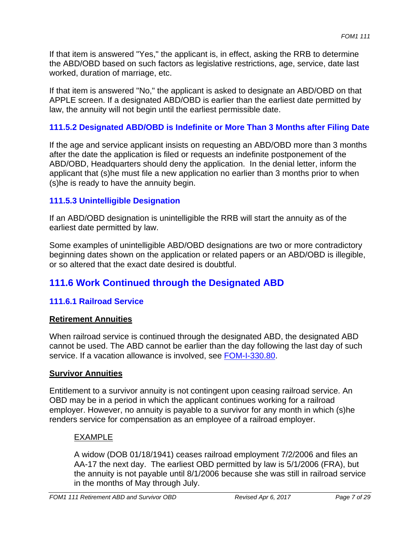If that item is answered "Yes," the applicant is, in effect, asking the RRB to determine the ABD/OBD based on such factors as legislative restrictions, age, service, date last worked, duration of marriage, etc.

If that item is answered "No," the applicant is asked to designate an ABD/OBD on that APPLE screen. If a designated ABD/OBD is earlier than the earliest date permitted by law, the annuity will not begin until the earliest permissible date.

## **111.5.2 Designated ABD/OBD is Indefinite or More Than 3 Months after Filing Date**

If the age and service applicant insists on requesting an ABD/OBD more than 3 months after the date the application is filed or requests an indefinite postponement of the ABD/OBD, Headquarters should deny the application. In the denial letter, inform the applicant that (s)he must file a new application no earlier than 3 months prior to when (s)he is ready to have the annuity begin.

## **111.5.3 Unintelligible Designation**

If an ABD/OBD designation is unintelligible the RRB will start the annuity as of the earliest date permitted by law.

Some examples of unintelligible ABD/OBD designations are two or more contradictory beginning dates shown on the application or related papers or an ABD/OBD is illegible, or so altered that the exact date desired is doubtful.

# **111.6 Work Continued through the Designated ABD**

## **111.6.1 Railroad Service**

## **Retirement Annuities**

When railroad service is continued through the designated ABD, the designated ABD cannot be used. The ABD cannot be earlier than the day following the last day of such service. If a vacation allowance is involved, see FOM-I-330.80.

## **Survivor Annuities**

Entitlement to a survivor annuity is not contingent upon ceasing railroad service. An OBD may be in a period in which the applicant continues working for a railroad employer. However, no annuity is payable to a survivor for any month in which (s)he renders service for compensation as an employee of a railroad employer.

## EXAMPLE

A widow (DOB 01/18/1941) ceases railroad employment 7/2/2006 and files an AA-17 the next day. The earliest OBD permitted by law is 5/1/2006 (FRA), but the annuity is not payable until 8/1/2006 because she was still in railroad service in the months of May through July.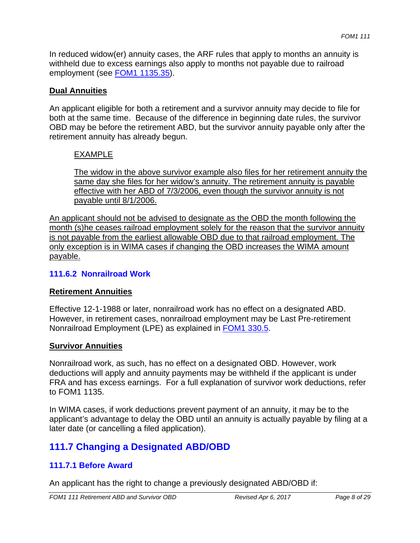In reduced widow(er) annuity cases, the ARF rules that apply to months an annuity is withheld due to excess earnings also apply to months not payable due to railroad employment (see FOM1 1135.35).

### **Dual Annuities**

An applicant eligible for both a retirement and a survivor annuity may decide to file for both at the same time. Because of the difference in beginning date rules, the survivor OBD may be before the retirement ABD, but the survivor annuity payable only after the retirement annuity has already begun.

## EXAMPLE

The widow in the above survivor example also files for her retirement annuity the same day she files for her widow's annuity. The retirement annuity is payable effective with her ABD of 7/3/2006, even though the survivor annuity is not payable until 8/1/2006.

An applicant should not be advised to designate as the OBD the month following the month (s)he ceases railroad employment solely for the reason that the survivor annuity is not payable from the earliest allowable OBD due to that railroad employment. The only exception is in WIMA cases if changing the OBD increases the WIMA amount payable.

#### **111.6.2 Nonrailroad Work**

#### **Retirement Annuities**

Effective 12-1-1988 or later, nonrailroad work has no effect on a designated ABD. However, in retirement cases, nonrailroad employment may be Last Pre-retirement Nonrailroad Employment (LPE) as explained in **FOM1 330.5**.

#### **Survivor Annuities**

Nonrailroad work, as such, has no effect on a designated OBD. However, work deductions will apply and annuity payments may be withheld if the applicant is under FRA and has excess earnings. For a full explanation of survivor work deductions, refer to FOM1 1135.

In WIMA cases, if work deductions prevent payment of an annuity, it may be to the applicant's advantage to delay the OBD until an annuity is actually payable by filing at a later date (or cancelling a filed application).

# **111.7 Changing a Designated ABD/OBD**

## **111.7.1 Before Award**

An applicant has the right to change a previously designated ABD/OBD if: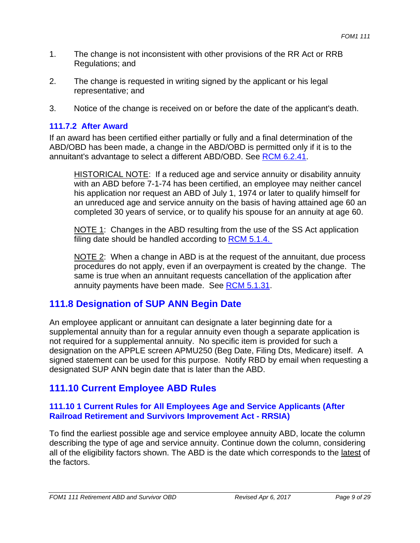- 1. The change is not inconsistent with other provisions of the RR Act or RRB Regulations; and
- 2. The change is requested in writing signed by the applicant or his legal representative; and
- 3. Notice of the change is received on or before the date of the applicant's death.

### **111.7.2 After Award**

If an award has been certified either partially or fully and a final determination of the ABD/OBD has been made, a change in the ABD/OBD is permitted only if it is to the annuitant's advantage to select a different ABD/OBD. See RCM 6.2.41.

HISTORICAL NOTE: If a reduced age and service annuity or disability annuity with an ABD before 7-1-74 has been certified, an employee may neither cancel his application nor request an ABD of July 1, 1974 or later to qualify himself for an unreduced age and service annuity on the basis of having attained age 60 an completed 30 years of service, or to qualify his spouse for an annuity at age 60.

NOTE 1: Changes in the ABD resulting from the use of the SS Act application filing date should be handled according to RCM 5.1.4.

NOTE 2: When a change in ABD is at the request of the annuitant, due process procedures do not apply, even if an overpayment is created by the change. The same is true when an annuitant requests cancellation of the application after annuity payments have been made. See RCM 5.1.31.

## **111.8 Designation of SUP ANN Begin Date**

An employee applicant or annuitant can designate a later beginning date for a supplemental annuity than for a regular annuity even though a separate application is not required for a supplemental annuity. No specific item is provided for such a designation on the APPLE screen APMU250 (Beg Date, Filing Dts, Medicare) itself. A signed statement can be used for this purpose. Notify RBD by email when requesting a designated SUP ANN begin date that is later than the ABD.

## **111.10 Current Employee ABD Rules**

### **111.10 1 Current Rules for All Employees Age and Service Applicants (After Railroad Retirement and Survivors Improvement Act - RRSIA)**

To find the earliest possible age and service employee annuity ABD, locate the column describing the type of age and service annuity. Continue down the column, considering all of the eligibility factors shown. The ABD is the date which corresponds to the latest of the factors.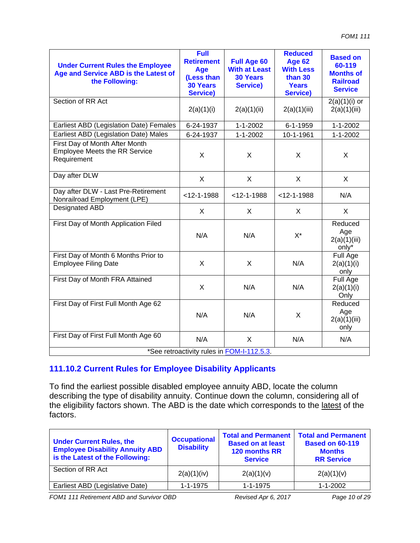| <b>Under Current Rules the Employee</b><br>Age and Service ABD is the Latest of<br>the Following: | <b>Full</b><br><b>Retirement</b><br>Age<br>(Less than<br><b>30 Years</b><br><b>Service)</b> | <b>Full Age 60</b><br><b>With at Least</b><br><b>30 Years</b><br><b>Service)</b> | <b>Reduced</b><br><b>Age 62</b><br><b>With Less</b><br>than 30<br><b>Years</b><br><b>Service)</b> | <b>Based on</b><br>60-119<br><b>Months of</b><br><b>Railroad</b><br><b>Service</b> |  |
|---------------------------------------------------------------------------------------------------|---------------------------------------------------------------------------------------------|----------------------------------------------------------------------------------|---------------------------------------------------------------------------------------------------|------------------------------------------------------------------------------------|--|
| Section of RR Act                                                                                 | 2(a)(1)(i)                                                                                  | 2(a)(1)(ii)                                                                      | 2(a)(1)(iii)                                                                                      | $2(a)(1)(i)$ or<br>2(a)(1)(iii)                                                    |  |
| Earliest ABD (Legislation Date) Females                                                           | 6-24-1937                                                                                   | $1 - 1 - 2002$                                                                   | 6-1-1959                                                                                          | $1 - 1 - 2002$                                                                     |  |
| Earliest ABD (Legislation Date) Males                                                             | 6-24-1937                                                                                   | $1 - 1 - 2002$                                                                   | 10-1-1961                                                                                         | $1 - 1 - 2002$                                                                     |  |
| First Day of Month After Month<br><b>Employee Meets the RR Service</b><br>Requirement             | X                                                                                           | X                                                                                | X                                                                                                 | X                                                                                  |  |
| Day after DLW                                                                                     | X                                                                                           | X                                                                                | X                                                                                                 | X                                                                                  |  |
| Day after DLW - Last Pre-Retirement<br>Nonrailroad Employment (LPE)                               | $<$ 12-1-1988                                                                               | $<$ 12-1-1988                                                                    | $<$ 12-1-1988                                                                                     | N/A                                                                                |  |
| Designated ABD                                                                                    | X                                                                                           | X                                                                                | X                                                                                                 | X                                                                                  |  |
| First Day of Month Application Filed                                                              | N/A                                                                                         | N/A                                                                              | $X^*$                                                                                             | Reduced<br>Age<br>2(a)(1)(iii)<br>only*                                            |  |
| First Day of Month 6 Months Prior to<br><b>Employee Filing Date</b>                               | X                                                                                           | X                                                                                | N/A                                                                                               | Full Age<br>2(a)(1)(i)<br>only                                                     |  |
| First Day of Month FRA Attained                                                                   | X                                                                                           | N/A                                                                              | N/A                                                                                               | Full Age<br>2(a)(1)(i)<br>Only                                                     |  |
| First Day of First Full Month Age 62                                                              | N/A                                                                                         | N/A                                                                              | X                                                                                                 | Reduced<br>Age<br>2(a)(1)(iii)<br>only                                             |  |
| First Day of First Full Month Age 60                                                              | N/A                                                                                         | X                                                                                | N/A                                                                                               | N/A                                                                                |  |
| *See retroactivity rules in FOM-I-112.5.3.                                                        |                                                                                             |                                                                                  |                                                                                                   |                                                                                    |  |

See retroactivity rules in **FOM-I-112.5.3**.

## **111.10.2 Current Rules for Employee Disability Applicants**

To find the earliest possible disabled employee annuity ABD, locate the column describing the type of disability annuity. Continue down the column, considering all of the eligibility factors shown. The ABD is the date which corresponds to the latest of the factors.

| <b>Under Current Rules, the</b><br><b>Employee Disability Annuity ABD</b><br>is the Latest of the Following: | <b>Occupational</b><br><b>Disability</b> | <b>Total and Permanent</b><br><b>Based on at least</b><br>120 months RR<br><b>Service</b> | <b>Total and Permanent</b><br><b>Based on 60-119</b><br><b>Months</b><br><b>RR Service</b> |
|--------------------------------------------------------------------------------------------------------------|------------------------------------------|-------------------------------------------------------------------------------------------|--------------------------------------------------------------------------------------------|
| Section of RR Act                                                                                            | 2(a)(1)(iv)                              | 2(a)(1)(v)                                                                                | 2(a)(1)(v)                                                                                 |
| Earliest ABD (Legislative Date)                                                                              | $1 - 1 - 1975$                           | $1 - 1 - 1975$                                                                            | $1 - 1 - 2002$                                                                             |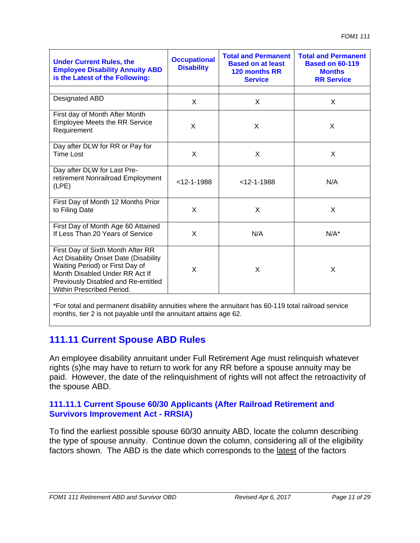| <b>Under Current Rules, the</b><br><b>Employee Disability Annuity ABD</b><br>is the Latest of the Following:                                                                                                        | <b>Occupational</b><br><b>Disability</b> | <b>Total and Permanent</b><br><b>Based on at least</b><br>120 months RR<br><b>Service</b> | <b>Total and Permanent</b><br><b>Based on 60-119</b><br><b>Months</b><br><b>RR Service</b> |
|---------------------------------------------------------------------------------------------------------------------------------------------------------------------------------------------------------------------|------------------------------------------|-------------------------------------------------------------------------------------------|--------------------------------------------------------------------------------------------|
|                                                                                                                                                                                                                     |                                          |                                                                                           |                                                                                            |
| Designated ABD                                                                                                                                                                                                      | X                                        | $\mathsf{x}$                                                                              | $\mathsf{x}$                                                                               |
| First day of Month After Month<br><b>Employee Meets the RR Service</b><br>Requirement                                                                                                                               | X                                        | X                                                                                         | X                                                                                          |
| Day after DLW for RR or Pay for<br><b>Time Lost</b>                                                                                                                                                                 | $\times$                                 | X                                                                                         | X                                                                                          |
| Day after DLW for Last Pre-<br>retirement Nonrailroad Employment<br>(LPE)                                                                                                                                           | $<$ 12-1-1988                            | $<$ 12-1-1988                                                                             | N/A                                                                                        |
| First Day of Month 12 Months Prior<br>to Filing Date                                                                                                                                                                | X                                        | X                                                                                         | X                                                                                          |
| First Day of Month Age 60 Attained<br>If Less Than 20 Years of Service                                                                                                                                              | X                                        | N/A                                                                                       | $N/A^*$                                                                                    |
| First Day of Sixth Month After RR<br>Act Disability Onset Date (Disability<br>Waiting Period) or First Day of<br>Month Disabled Under RR Act If<br>Previously Disabled and Re-entitled<br>Within Prescribed Period. | X                                        | X                                                                                         | X                                                                                          |

\*For total and permanent disability annuities where the annuitant has 60-119 total railroad service months, tier 2 is not payable until the annuitant attains age 62.

## **111.11 Current Spouse ABD Rules**

An employee disability annuitant under Full Retirement Age must relinquish whatever rights (s)he may have to return to work for any RR before a spouse annuity may be paid. However, the date of the relinquishment of rights will not affect the retroactivity of the spouse ABD.

#### **111.11.1 Current Spouse 60/30 Applicants (After Railroad Retirement and Survivors Improvement Act - RRSIA)**

To find the earliest possible spouse 60/30 annuity ABD, locate the column describing the type of spouse annuity. Continue down the column, considering all of the eligibility factors shown. The ABD is the date which corresponds to the latest of the factors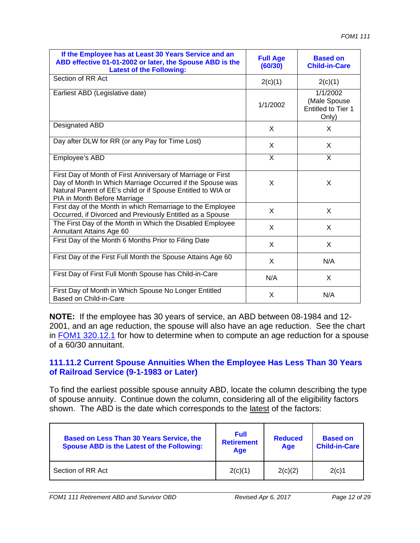| If the Employee has at Least 30 Years Service and an<br>ABD effective 01-01-2002 or later, the Spouse ABD is the<br><b>Latest of the Following:</b>                                                                       | <b>Full Age</b><br>(60/30) | <b>Based on</b><br><b>Child-in-Care</b>                 |
|---------------------------------------------------------------------------------------------------------------------------------------------------------------------------------------------------------------------------|----------------------------|---------------------------------------------------------|
| Section of RR Act                                                                                                                                                                                                         | 2(c)(1)                    | 2(c)(1)                                                 |
| Earliest ABD (Legislative date)                                                                                                                                                                                           | 1/1/2002                   | 1/1/2002<br>(Male Spouse<br>Entitled to Tier 1<br>Only) |
| Designated ABD                                                                                                                                                                                                            | X                          | X.                                                      |
| Day after DLW for RR (or any Pay for Time Lost)                                                                                                                                                                           | X                          | X.                                                      |
| Employee's ABD                                                                                                                                                                                                            | X                          | X                                                       |
| First Day of Month of First Anniversary of Marriage or First<br>Day of Month In Which Marriage Occurred if the Spouse was<br>Natural Parent of EE's child or if Spouse Entitled to WIA or<br>PIA in Month Before Marriage | X                          | X                                                       |
| First day of the Month in which Remarriage to the Employee<br>Occurred, if Divorced and Previously Entitled as a Spouse                                                                                                   | X                          | X                                                       |
| The First Day of the Month in Which the Disabled Employee<br>Annuitant Attains Age 60                                                                                                                                     | X                          | X                                                       |
| First Day of the Month 6 Months Prior to Filing Date                                                                                                                                                                      | $\times$                   | X.                                                      |
| First Day of the First Full Month the Spouse Attains Age 60                                                                                                                                                               | X                          | N/A                                                     |
| First Day of First Full Month Spouse has Child-in-Care                                                                                                                                                                    | N/A                        | X                                                       |
| First Day of Month in Which Spouse No Longer Entitled<br>Based on Child-in-Care                                                                                                                                           | X                          | N/A                                                     |

**NOTE:** If the employee has 30 years of service, an ABD between 08-1984 and 12- 2001, and an age reduction, the spouse will also have an age reduction. See the chart in FOM1 320.12.1 for how to determine when to compute an age reduction for a spouse of a 60/30 annuitant.

#### **111.11.2 Current Spouse Annuities When the Employee Has Less Than 30 Years of Railroad Service (9-1-1983 or Later)**

To find the earliest possible spouse annuity ABD, locate the column describing the type of spouse annuity. Continue down the column, considering all of the eligibility factors shown. The ABD is the date which corresponds to the latest of the factors:

| <b>Based on Less Than 30 Years Service, the</b><br><b>Spouse ABD is the Latest of the Following:</b> | <b>Full</b><br><b>Retirement</b><br>Age | <b>Reduced</b><br>Age | <b>Based on</b><br><b>Child-in-Care</b> |
|------------------------------------------------------------------------------------------------------|-----------------------------------------|-----------------------|-----------------------------------------|
| Section of RR Act                                                                                    | 2(c)(1)                                 | 2(c)(2)               | 2(c)1                                   |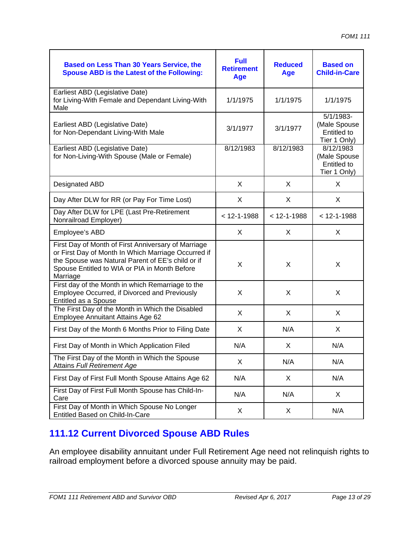| <b>Based on Less Than 30 Years Service, the</b><br><b>Spouse ABD is the Latest of the Following:</b>                                                                                                                         | <b>Full</b><br><b>Retirement</b><br>Age | <b>Reduced</b><br><b>Age</b> | <b>Based on</b><br><b>Child-in-Care</b>                         |
|------------------------------------------------------------------------------------------------------------------------------------------------------------------------------------------------------------------------------|-----------------------------------------|------------------------------|-----------------------------------------------------------------|
| Earliest ABD (Legislative Date)<br>for Living-With Female and Dependant Living-With<br>Male                                                                                                                                  | 1/1/1975                                | 1/1/1975                     | 1/1/1975                                                        |
| Earliest ABD (Legislative Date)<br>for Non-Dependant Living-With Male                                                                                                                                                        | 3/1/1977                                | 3/1/1977                     | 5/1/1983-<br>(Male Spouse<br><b>Entitled to</b><br>Tier 1 Only) |
| Earliest ABD (Legislative Date)<br>for Non-Living-With Spouse (Male or Female)                                                                                                                                               | 8/12/1983                               | 8/12/1983                    | 8/12/1983<br>(Male Spouse<br>Entitled to<br>Tier 1 Only)        |
| Designated ABD                                                                                                                                                                                                               | X                                       | X                            | X                                                               |
| Day After DLW for RR (or Pay For Time Lost)                                                                                                                                                                                  | X                                       | X                            | X                                                               |
| Day After DLW for LPE (Last Pre-Retirement<br>Nonrailroad Employer)                                                                                                                                                          | $< 12 - 1 - 1988$                       | $< 12 - 1 - 1988$            | $< 12 - 1 - 1988$                                               |
| Employee's ABD                                                                                                                                                                                                               | X                                       | X                            | X                                                               |
| First Day of Month of First Anniversary of Marriage<br>or First Day of Month In Which Marriage Occurred if<br>the Spouse was Natural Parent of EE's child or if<br>Spouse Entitled to WIA or PIA in Month Before<br>Marriage | X                                       | X                            | X                                                               |
| First day of the Month in which Remarriage to the<br>Employee Occurred, if Divorced and Previously<br>Entitled as a Spouse                                                                                                   | X                                       | X                            | X                                                               |
| The First Day of the Month in Which the Disabled<br>Employee Annuitant Attains Age 62                                                                                                                                        | X                                       | X                            | X                                                               |
| First Day of the Month 6 Months Prior to Filing Date                                                                                                                                                                         | X                                       | N/A                          | X                                                               |
| First Day of Month in Which Application Filed                                                                                                                                                                                | N/A                                     | X                            | N/A                                                             |
| The First Day of the Month in Which the Spouse<br>Attains Full Retirement Age                                                                                                                                                | X                                       | N/A                          | N/A                                                             |
| First Day of First Full Month Spouse Attains Age 62                                                                                                                                                                          | N/A                                     | X                            | N/A                                                             |
| First Day of First Full Month Spouse has Child-In-<br>Care                                                                                                                                                                   | N/A                                     | N/A                          | X                                                               |
| First Day of Month in Which Spouse No Longer<br>Entitled Based on Child-In-Care                                                                                                                                              | X                                       | X                            | N/A                                                             |

# **111.12 Current Divorced Spouse ABD Rules**

An employee disability annuitant under Full Retirement Age need not relinquish rights to railroad employment before a divorced spouse annuity may be paid.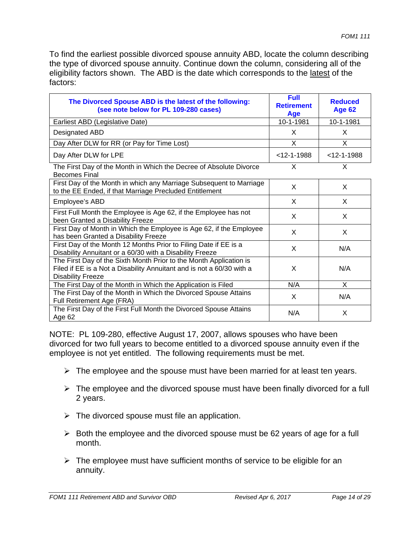To find the earliest possible divorced spouse annuity ABD, locate the column describing the type of divorced spouse annuity. Continue down the column, considering all of the eligibility factors shown. The ABD is the date which corresponds to the latest of the factors:

| The Divorced Spouse ABD is the latest of the following:<br>(see note below for PL 109-280 cases)                                                                        | <b>Full</b><br><b>Retirement</b><br>Age | <b>Reduced</b><br><b>Age 62</b> |
|-------------------------------------------------------------------------------------------------------------------------------------------------------------------------|-----------------------------------------|---------------------------------|
| Earliest ABD (Legislative Date)                                                                                                                                         | 10-1-1981                               | 10-1-1981                       |
| Designated ABD                                                                                                                                                          | X                                       | X                               |
| Day After DLW for RR (or Pay for Time Lost)                                                                                                                             | $\mathsf{X}$                            | X.                              |
| Day After DLW for LPE                                                                                                                                                   | $<$ 12-1-1988                           | $<$ 12-1-1988                   |
| The First Day of the Month in Which the Decree of Absolute Divorce<br><b>Becomes Final</b>                                                                              | $\times$                                | X                               |
| First Day of the Month in which any Marriage Subsequent to Marriage<br>to the EE Ended, if that Marriage Precluded Entitlement                                          | X                                       | X                               |
| Employee's ABD                                                                                                                                                          | X                                       | X                               |
| First Full Month the Employee is Age 62, if the Employee has not<br>been Granted a Disability Freeze                                                                    | X                                       | X                               |
| First Day of Month in Which the Employee is Age 62, if the Employee<br>has been Granted a Disability Freeze                                                             | X                                       | X                               |
| First Day of the Month 12 Months Prior to Filing Date if EE is a<br>Disability Annuitant or a 60/30 with a Disability Freeze                                            | X                                       | N/A                             |
| The First Day of the Sixth Month Prior to the Month Application is<br>Filed if EE is a Not a Disability Annuitant and is not a 60/30 with a<br><b>Disability Freeze</b> | X                                       | N/A                             |
| The First Day of the Month in Which the Application is Filed                                                                                                            | N/A                                     | X                               |
| The First Day of the Month in Which the Divorced Spouse Attains<br>Full Retirement Age (FRA)                                                                            | X                                       | N/A                             |
| The First Day of the First Full Month the Divorced Spouse Attains<br>Age 62                                                                                             | N/A                                     | X                               |

NOTE: PL 109-280, effective August 17, 2007, allows spouses who have been divorced for two full years to become entitled to a divorced spouse annuity even if the employee is not yet entitled. The following requirements must be met.

- $\triangleright$  The employee and the spouse must have been married for at least ten years.
- $\triangleright$  The employee and the divorced spouse must have been finally divorced for a full 2 years.
- $\triangleright$  The divorced spouse must file an application.
- $\triangleright$  Both the employee and the divorced spouse must be 62 years of age for a full month.
- $\triangleright$  The employee must have sufficient months of service to be eligible for an annuity.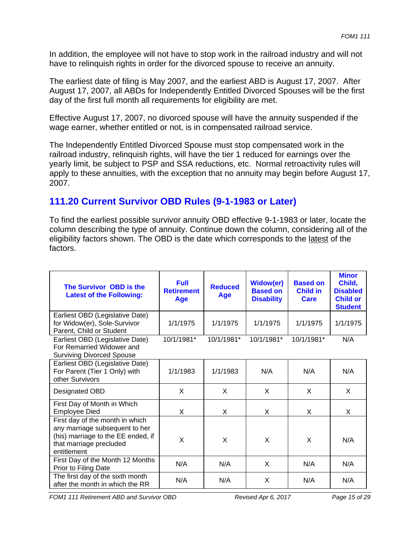In addition, the employee will not have to stop work in the railroad industry and will not have to relinquish rights in order for the divorced spouse to receive an annuity.

The earliest date of filing is May 2007, and the earliest ABD is August 17, 2007. After August 17, 2007, all ABDs for Independently Entitled Divorced Spouses will be the first day of the first full month all requirements for eligibility are met.

Effective August 17, 2007, no divorced spouse will have the annuity suspended if the wage earner, whether entitled or not, is in compensated railroad service.

The Independently Entitled Divorced Spouse must stop compensated work in the railroad industry, relinquish rights, will have the tier 1 reduced for earnings over the yearly limit, be subject to PSP and SSA reductions, etc. Normal retroactivity rules will apply to these annuities, with the exception that no annuity may begin before August 17, 2007.

## **111.20 Current Survivor OBD Rules (9-1-1983 or Later)**

To find the earliest possible survivor annuity OBD effective 9-1-1983 or later, locate the column describing the type of annuity. Continue down the column, considering all of the eligibility factors shown. The OBD is the date which corresponds to the latest of the factors.

| The Survivor OBD is the<br><b>Latest of the Following:</b>                                                                                        | <b>Full</b><br><b>Retirement</b><br>Age | <b>Reduced</b><br><b>Age</b> | <b>Widow(er)</b><br><b>Based on</b><br><b>Disability</b> | <b>Based on</b><br><b>Child in</b><br><b>Care</b> | <b>Minor</b><br>Child,<br><b>Disabled</b><br><b>Child or</b><br><b>Student</b> |
|---------------------------------------------------------------------------------------------------------------------------------------------------|-----------------------------------------|------------------------------|----------------------------------------------------------|---------------------------------------------------|--------------------------------------------------------------------------------|
| Earliest OBD (Legislative Date)<br>for Widow(er), Sole-Survivor<br>Parent, Child or Student                                                       | 1/1/1975                                | 1/1/1975                     | 1/1/1975                                                 | 1/1/1975                                          | 1/1/1975                                                                       |
| Earliest OBD (Legislative Date)<br>For Remarried Widower and<br><b>Surviving Divorced Spouse</b>                                                  | 10/1/1981*                              | 10/1/1981*                   | 10/1/1981*                                               | 10/1/1981*                                        | N/A                                                                            |
| Earliest OBD (Legislative Date)<br>For Parent (Tier 1 Only) with<br>other Survivors                                                               | 1/1/1983                                | 1/1/1983                     | N/A                                                      | N/A                                               | N/A                                                                            |
| Designated OBD                                                                                                                                    | X                                       | X                            | X                                                        | X                                                 | X                                                                              |
| First Day of Month in Which<br><b>Employee Died</b>                                                                                               | X                                       | X                            | X                                                        | X                                                 | X                                                                              |
| First day of the month in which<br>any marriage subsequent to her<br>(his) marriage to the EE ended, if<br>that marriage precluded<br>entitlement | X                                       | X                            | X                                                        | X                                                 | N/A                                                                            |
| First Day of the Month 12 Months<br>Prior to Filing Date                                                                                          | N/A                                     | N/A                          | X                                                        | N/A                                               | N/A                                                                            |
| The first day of the sixth month<br>after the month in which the RR                                                                               | N/A                                     | N/A                          | X                                                        | N/A                                               | N/A                                                                            |

*FOM1 111 Retirement ABD and Survivor OBD Revised Apr 6, 2017 Page 15 of 29*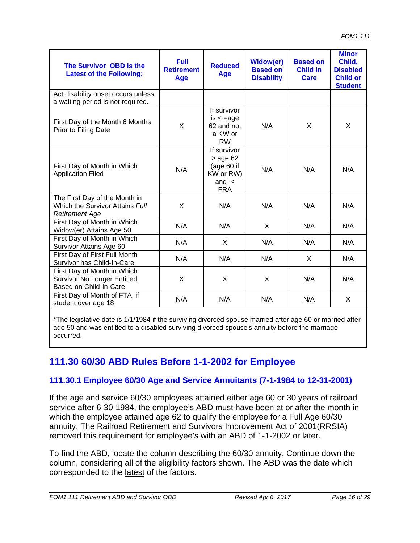| The Survivor OBD is the<br><b>Latest of the Following:</b>                                  | <b>Full</b><br><b>Retirement</b><br><b>Age</b> | <b>Reduced</b><br>Age                                                             | <b>Widow(er)</b><br><b>Based on</b><br><b>Disability</b> | <b>Based on</b><br><b>Child in</b><br><b>Care</b> | <b>Minor</b><br>Child,<br><b>Disabled</b><br><b>Child or</b><br><b>Student</b> |
|---------------------------------------------------------------------------------------------|------------------------------------------------|-----------------------------------------------------------------------------------|----------------------------------------------------------|---------------------------------------------------|--------------------------------------------------------------------------------|
| Act disability onset occurs unless<br>a waiting period is not required.                     |                                                |                                                                                   |                                                          |                                                   |                                                                                |
| First Day of the Month 6 Months<br>Prior to Filing Date                                     | X                                              | If survivor<br>$is < = age$<br>62 and not<br>a KW or<br><b>RW</b>                 | N/A                                                      | X                                                 | X                                                                              |
| First Day of Month in Which<br><b>Application Filed</b>                                     | N/A                                            | If survivor<br>$>$ age 62<br>(age $60$ if<br>KW or RW)<br>and $\lt$<br><b>FRA</b> | N/A                                                      | N/A                                               | N/A                                                                            |
| The First Day of the Month in<br>Which the Survivor Attains Full<br><b>Retirement Age</b>   | X                                              | N/A                                                                               | N/A                                                      | N/A                                               | N/A                                                                            |
| First Day of Month in Which<br>Widow(er) Attains Age 50                                     | N/A                                            | N/A                                                                               | X                                                        | N/A                                               | N/A                                                                            |
| First Day of Month in Which<br>Survivor Attains Age 60                                      | N/A                                            | X.                                                                                | N/A                                                      | N/A                                               | N/A                                                                            |
| First Day of First Full Month<br>Survivor has Child-In-Care                                 | N/A                                            | N/A                                                                               | N/A                                                      | X                                                 | N/A                                                                            |
| First Day of Month in Which<br><b>Survivor No Longer Entitled</b><br>Based on Child-In-Care | X                                              | X                                                                                 | X                                                        | N/A                                               | N/A                                                                            |
| First Day of Month of FTA, if<br>student over age 18                                        | N/A                                            | N/A                                                                               | N/A                                                      | N/A                                               | X                                                                              |

\*The legislative date is 1/1/1984 if the surviving divorced spouse married after age 60 or married after age 50 and was entitled to a disabled surviving divorced spouse's annuity before the marriage occurred.

# **111.30 60/30 ABD Rules Before 1-1-2002 for Employee**

## **111.30.1 Employee 60/30 Age and Service Annuitants (7-1-1984 to 12-31-2001)**

If the age and service 60/30 employees attained either age 60 or 30 years of railroad service after 6-30-1984, the employee's ABD must have been at or after the month in which the employee attained age 62 to qualify the employee for a Full Age 60/30 annuity. The Railroad Retirement and Survivors Improvement Act of 2001(RRSIA) removed this requirement for employee's with an ABD of 1-1-2002 or later.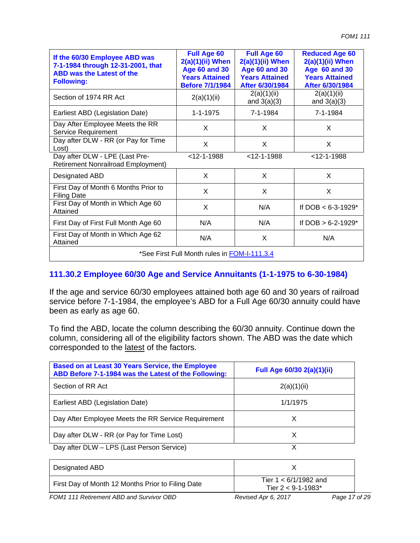| If the 60/30 Employee ABD was<br>7-1-1984 through 12-31-2001, that<br><b>ABD was the Latest of the</b><br><b>Following:</b> | <b>Full Age 60</b><br>$2(a)(1)(ii)$ When<br><b>Age 60 and 30</b><br><b>Years Attained</b><br><b>Before 7/1/1984</b> | <b>Full Age 60</b><br>$2(a)(1)(ii)$ When<br><b>Age 60 and 30</b><br><b>Years Attained</b><br>After 6/30/1984 | <b>Reduced Age 60</b><br>$2(a)(1)(ii)$ When<br><b>Age 60 and 30</b><br><b>Years Attained</b><br>After 6/30/1984 |  |  |
|-----------------------------------------------------------------------------------------------------------------------------|---------------------------------------------------------------------------------------------------------------------|--------------------------------------------------------------------------------------------------------------|-----------------------------------------------------------------------------------------------------------------|--|--|
| Section of 1974 RR Act                                                                                                      | 2(a)(1)(ii)                                                                                                         | 2(a)(1)(ii)<br>and $3(a)(3)$                                                                                 | 2(a)(1)(ii)<br>and $3(a)(3)$                                                                                    |  |  |
| Earliest ABD (Legislation Date)                                                                                             | $1 - 1 - 1975$                                                                                                      | 7-1-1984                                                                                                     | 7-1-1984                                                                                                        |  |  |
| Day After Employee Meets the RR<br>Service Requirement                                                                      | X                                                                                                                   | X                                                                                                            | X                                                                                                               |  |  |
| Day after DLW - RR (or Pay for Time<br>Lost)                                                                                | X                                                                                                                   | X                                                                                                            | X                                                                                                               |  |  |
| Day after DLW - LPE (Last Pre-<br><b>Retirement Nonrailroad Employment)</b>                                                 | $<$ 12-1-1988                                                                                                       | $<$ 12-1-1988                                                                                                | $<$ 12-1-1988                                                                                                   |  |  |
| Designated ABD                                                                                                              | X                                                                                                                   | X                                                                                                            | X                                                                                                               |  |  |
| First Day of Month 6 Months Prior to<br><b>Filing Date</b>                                                                  | X                                                                                                                   | X                                                                                                            | X                                                                                                               |  |  |
| First Day of Month in Which Age 60<br>Attained                                                                              | X                                                                                                                   | N/A                                                                                                          | If DOB $< 6 - 3 - 1929$ *                                                                                       |  |  |
| First Day of First Full Month Age 60                                                                                        | N/A                                                                                                                 | N/A                                                                                                          | If $DOB > 6-2-1929*$                                                                                            |  |  |
| First Day of Month in Which Age 62<br>Attained                                                                              | N/A                                                                                                                 | X                                                                                                            | N/A                                                                                                             |  |  |
| *See First Full Month rules in FOM-I-111.3.4                                                                                |                                                                                                                     |                                                                                                              |                                                                                                                 |  |  |

## **111.30.2 Employee 60/30 Age and Service Annuitants (1-1-1975 to 6-30-1984)**

If the age and service 60/30 employees attained both age 60 and 30 years of railroad service before 7-1-1984, the employee's ABD for a Full Age 60/30 annuity could have been as early as age 60.

| <b>Based on at Least 30 Years Service, the Employee</b><br>ABD Before 7-1-1984 was the Latest of the Following: | Full Age 60/30 2(a)(1)(ii) |
|-----------------------------------------------------------------------------------------------------------------|----------------------------|
| Section of RR Act                                                                                               | 2(a)(1)(ii)                |
| Earliest ABD (Legislation Date)                                                                                 | 1/1/1975                   |
| Day After Employee Meets the RR Service Requirement                                                             | X                          |
| Day after DLW - RR (or Pay for Time Lost)                                                                       | X                          |
| Day after DLW - LPS (Last Person Service)                                                                       | v                          |

| Designated ABD                                    |                                               |
|---------------------------------------------------|-----------------------------------------------|
| First Day of Month 12 Months Prior to Filing Date | Tier $1 < 6/1/1982$ and<br>Tier 2 < 9-1-1983* |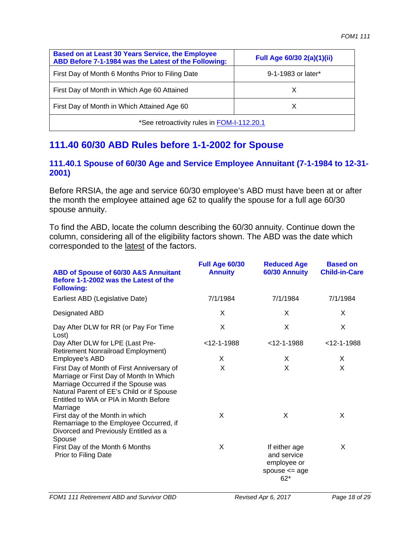| <b>Based on at Least 30 Years Service, the Employee</b><br>ABD Before 7-1-1984 was the Latest of the Following: | Full Age 60/30 2(a)(1)(ii) |  |  |  |
|-----------------------------------------------------------------------------------------------------------------|----------------------------|--|--|--|
| First Day of Month 6 Months Prior to Filing Date                                                                | 9-1-1983 or later*         |  |  |  |
| First Day of Month in Which Age 60 Attained                                                                     |                            |  |  |  |
| First Day of Month in Which Attained Age 60<br>x                                                                |                            |  |  |  |
| *See retroactivity rules in FOM-I-112.20.1                                                                      |                            |  |  |  |

# **111.40 60/30 ABD Rules before 1-1-2002 for Spouse**

### **111.40.1 Spouse of 60/30 Age and Service Employee Annuitant (7-1-1984 to 12-31- 2001)**

Before RRSIA, the age and service 60/30 employee's ABD must have been at or after the month the employee attained age 62 to qualify the spouse for a full age 60/30 spouse annuity.

| ABD of Spouse of 60/30 A&S Annuitant<br>Before 1-1-2002 was the Latest of the<br><b>Following:</b>                                                                                                                              | Full Age 60/30<br><b>Annuity</b> | <b>Reduced Age</b><br>60/30 Annuity                                     | <b>Based on</b><br><b>Child-in-Care</b> |
|---------------------------------------------------------------------------------------------------------------------------------------------------------------------------------------------------------------------------------|----------------------------------|-------------------------------------------------------------------------|-----------------------------------------|
| Earliest ABD (Legislative Date)                                                                                                                                                                                                 | 7/1/1984                         | 7/1/1984                                                                | 7/1/1984                                |
| Designated ABD                                                                                                                                                                                                                  | X                                | X                                                                       | X                                       |
| Day After DLW for RR (or Pay For Time<br>Lost)                                                                                                                                                                                  | X                                | X                                                                       | X                                       |
| Day After DLW for LPE (Last Pre-<br><b>Retirement Nonrailroad Employment)</b>                                                                                                                                                   | $<$ 12-1-1988                    | $<$ 12-1-1988                                                           | $<$ 12-1-1988                           |
| Employee's ABD                                                                                                                                                                                                                  | X                                | X                                                                       | X                                       |
| First Day of Month of First Anniversary of<br>Marriage or First Day of Month In Which<br>Marriage Occurred if the Spouse was<br>Natural Parent of EE's Child or if Spouse<br>Entitled to WIA or PIA in Month Before<br>Marriage | X                                | X                                                                       | X                                       |
| First day of the Month in which<br>Remarriage to the Employee Occurred, if<br>Divorced and Previously Entitled as a<br>Spouse                                                                                                   | X                                | X                                                                       | X                                       |
| First Day of the Month 6 Months<br>Prior to Filing Date                                                                                                                                                                         | X                                | If either age<br>and service<br>employee or<br>spouse $<=$ age<br>$62*$ | X                                       |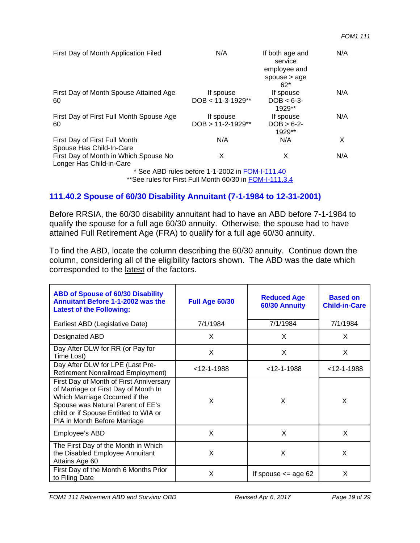| First Day of Month Application Filed                              | N/A                                             | If both age and<br>service<br>employee and<br>spouse $>$ age<br>$62*$ | N/A |
|-------------------------------------------------------------------|-------------------------------------------------|-----------------------------------------------------------------------|-----|
| First Day of Month Spouse Attained Age<br>60                      | If spouse<br>$DOB < 11-3-1929**$                | If spouse<br>$DOB < 6-3$<br>$1929**$                                  | N/A |
| First Day of First Full Month Spouse Age<br>60                    | If spouse<br>$DOB > 11-2-1929**$                | If spouse<br>$DOB > 6-2-$<br>$1929**$                                 | N/A |
| First Day of First Full Month<br>Spouse Has Child-In-Care         | N/A                                             | N/A                                                                   | X   |
| First Day of Month in Which Spouse No<br>Longer Has Child-in-Care | X                                               | х                                                                     | N/A |
|                                                                   | * See ABD rules before 1-1-2002 in FOM-I-111.40 |                                                                       |     |

\*\* See rules for First Full Month 60/30 in FOM-I-111.3.4

### **111.40.2 Spouse of 60/30 Disability Annuitant (7-1-1984 to 12-31-2001)**

Before RRSIA, the 60/30 disability annuitant had to have an ABD before 7-1-1984 to qualify the spouse for a full age 60/30 annuity. Otherwise, the spouse had to have attained Full Retirement Age (FRA) to qualify for a full age 60/30 annuity.

| <b>ABD of Spouse of 60/30 Disability</b><br><b>Annuitant Before 1-1-2002 was the</b><br><b>Latest of the Following:</b>                                                                                                         | Full Age 60/30 | <b>Reduced Age</b><br>60/30 Annuity | <b>Based on</b><br><b>Child-in-Care</b> |
|---------------------------------------------------------------------------------------------------------------------------------------------------------------------------------------------------------------------------------|----------------|-------------------------------------|-----------------------------------------|
| Earliest ABD (Legislative Date)                                                                                                                                                                                                 | 7/1/1984       | 7/1/1984                            | 7/1/1984                                |
| Designated ABD                                                                                                                                                                                                                  | X              | X                                   | X                                       |
| Day After DLW for RR (or Pay for<br>Time Lost)                                                                                                                                                                                  | X              | X                                   | X                                       |
| Day After DLW for LPE (Last Pre-<br><b>Retirement Nonrailroad Employment)</b>                                                                                                                                                   | $<$ 12-1-1988  | $<$ 12-1-1988                       | $<$ 12-1-1988                           |
| First Day of Month of First Anniversary<br>of Marriage or First Day of Month In<br>Which Marriage Occurred if the<br>Spouse was Natural Parent of EE's<br>child or if Spouse Entitled to WIA or<br>PIA in Month Before Marriage | X              | X                                   | X                                       |
| Employee's ABD                                                                                                                                                                                                                  | X              | X                                   | X                                       |
| The First Day of the Month in Which<br>the Disabled Employee Annuitant<br>Attains Age 60                                                                                                                                        | X              | X                                   | X                                       |
| First Day of the Month 6 Months Prior<br>to Filing Date                                                                                                                                                                         | X              | If spouse $\leq$ age 62             | X                                       |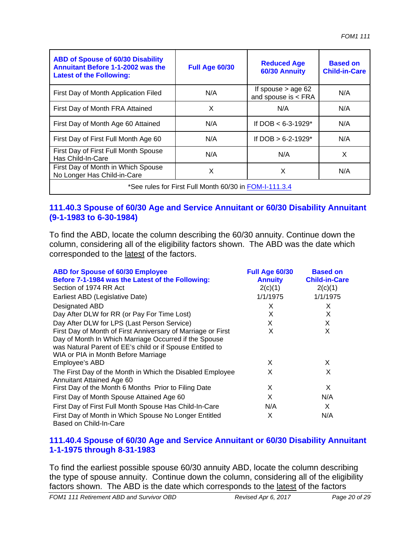| <b>ABD of Spouse of 60/30 Disability</b><br><b>Annuitant Before 1-1-2002 was the</b><br><b>Latest of the Following:</b> | <b>Full Age 60/30</b> | <b>Reduced Age</b><br>60/30 Annuity           | <b>Based on</b><br><b>Child-in-Care</b> |  |
|-------------------------------------------------------------------------------------------------------------------------|-----------------------|-----------------------------------------------|-----------------------------------------|--|
| First Day of Month Application Filed                                                                                    | N/A                   | If spouse $>$ age 62<br>and spouse is $<$ FRA | N/A                                     |  |
| First Day of Month FRA Attained                                                                                         | X                     | N/A                                           | N/A                                     |  |
| First Day of Month Age 60 Attained                                                                                      | N/A                   | If DOB $< 6-3-1929$ *                         | N/A                                     |  |
| First Day of First Full Month Age 60                                                                                    | N/A                   | If DOB $> 6-2-1929$ *                         | N/A                                     |  |
| First Day of First Full Month Spouse<br>Has Child-In-Care                                                               | N/A                   | N/A                                           | X                                       |  |
| First Day of Month in Which Spouse<br>No Longer Has Child-in-Care                                                       | X                     | X                                             | N/A                                     |  |
| *See rules for First Full Month 60/30 in FOM-I-111.3.4                                                                  |                       |                                               |                                         |  |

#### **111.40.3 Spouse of 60/30 Age and Service Annuitant or 60/30 Disability Annuitant (9-1-1983 to 6-30-1984)**

To find the ABD, locate the column describing the 60/30 annuity. Continue down the column, considering all of the eligibility factors shown. The ABD was the date which corresponded to the latest of the factors.

| <b>ABD for Spouse of 60/30 Employee</b><br>Before 7-1-1984 was the Latest of the Following:<br>Section of 1974 RR Act                                                                                                     | Full Age 60/30<br><b>Annuity</b><br>2(c)(1) | <b>Based on</b><br><b>Child-in-Care</b><br>2(c)(1) |
|---------------------------------------------------------------------------------------------------------------------------------------------------------------------------------------------------------------------------|---------------------------------------------|----------------------------------------------------|
| Earliest ABD (Legislative Date)                                                                                                                                                                                           | 1/1/1975                                    | 1/1/1975                                           |
| <b>Designated ABD</b>                                                                                                                                                                                                     | X                                           | X                                                  |
| Day After DLW for RR (or Pay For Time Lost)                                                                                                                                                                               | X                                           | X                                                  |
| Day After DLW for LPS (Last Person Service)                                                                                                                                                                               | X                                           | X                                                  |
| First Day of Month of First Anniversary of Marriage or First<br>Day of Month In Which Marriage Occurred if the Spouse<br>was Natural Parent of EE's child or if Spouse Entitled to<br>WIA or PIA in Month Before Marriage | X<br>X                                      | X<br>X.                                            |
| Employee's ABD                                                                                                                                                                                                            |                                             |                                                    |
| The First Day of the Month in Which the Disabled Employee<br>Annuitant Attained Age 60                                                                                                                                    | X                                           | X                                                  |
| First Day of the Month 6 Months Prior to Filing Date                                                                                                                                                                      | X                                           | X                                                  |
| First Day of Month Spouse Attained Age 60                                                                                                                                                                                 | X                                           | N/A                                                |
| First Day of First Full Month Spouse Has Child-In-Care                                                                                                                                                                    | N/A                                         | X                                                  |
| First Day of Month in Which Spouse No Longer Entitled<br>Based on Child-In-Care                                                                                                                                           | X                                           | N/A                                                |

#### **111.40.4 Spouse of 60/30 Age and Service Annuitant or 60/30 Disability Annuitant 1-1-1975 through 8-31-1983**

To find the earliest possible spouse 60/30 annuity ABD, locate the column describing the type of spouse annuity. Continue down the column, considering all of the eligibility factors shown. The ABD is the date which corresponds to the latest of the factors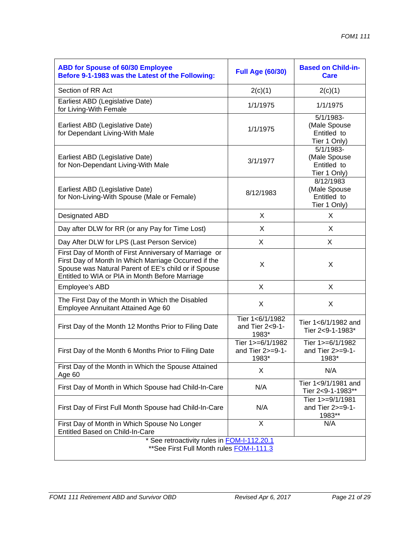| <b>ABD for Spouse of 60/30 Employee</b><br>Before 9-1-1983 was the Latest of the Following:                                                                                                                               | <b>Full Age (60/30)</b>                       | <b>Based on Child-in-</b><br>Care                          |  |
|---------------------------------------------------------------------------------------------------------------------------------------------------------------------------------------------------------------------------|-----------------------------------------------|------------------------------------------------------------|--|
| Section of RR Act                                                                                                                                                                                                         | 2(c)(1)                                       | 2(c)(1)                                                    |  |
| Earliest ABD (Legislative Date)<br>for Living-With Female                                                                                                                                                                 | 1/1/1975                                      | 1/1/1975                                                   |  |
| Earliest ABD (Legislative Date)<br>for Dependant Living-With Male                                                                                                                                                         | 1/1/1975                                      | $5/1/1983-$<br>(Male Spouse<br>Entitled to<br>Tier 1 Only) |  |
| Earliest ABD (Legislative Date)<br>for Non-Dependant Living-With Male                                                                                                                                                     | 3/1/1977                                      | $5/1/1983-$<br>(Male Spouse<br>Entitled to<br>Tier 1 Only) |  |
| Earliest ABD (Legislative Date)<br>for Non-Living-With Spouse (Male or Female)                                                                                                                                            | 8/12/1983                                     | 8/12/1983<br>(Male Spouse<br>Entitled to<br>Tier 1 Only)   |  |
| <b>Designated ABD</b>                                                                                                                                                                                                     | X                                             | X                                                          |  |
| Day after DLW for RR (or any Pay for Time Lost)                                                                                                                                                                           | X                                             | X                                                          |  |
| Day After DLW for LPS (Last Person Service)                                                                                                                                                                               | X                                             | X                                                          |  |
| First Day of Month of First Anniversary of Marriage or<br>First Day of Month In Which Marriage Occurred if the<br>Spouse was Natural Parent of EE's child or if Spouse<br>Entitled to WIA or PIA in Month Before Marriage | X                                             | X                                                          |  |
| Employee's ABD                                                                                                                                                                                                            | X                                             | X                                                          |  |
| The First Day of the Month in Which the Disabled<br>Employee Annuitant Attained Age 60                                                                                                                                    | X                                             | X                                                          |  |
| First Day of the Month 12 Months Prior to Filing Date                                                                                                                                                                     | Tier 1<6/1/1982<br>and Tier 2<9-1-<br>1983*   | Tier 1<6/1/1982 and<br>Tier 2<9-1-1983*                    |  |
| First Day of the Month 6 Months Prior to Filing Date                                                                                                                                                                      | Tier 1>=6/1/1982<br>and Tier 2>=9-1-<br>1983* | Tier $1>=6/1/1982$<br>and Tier $2>=9-1-$<br>1983*          |  |
| First Day of the Month in Which the Spouse Attained<br>Age 60                                                                                                                                                             | X                                             | N/A                                                        |  |
| First Day of Month in Which Spouse had Child-In-Care                                                                                                                                                                      | N/A                                           | Tier 1<9/1/1981 and<br>Tier 2<9-1-1983**                   |  |
| First Day of First Full Month Spouse had Child-In-Care                                                                                                                                                                    | N/A                                           | Tier $1>=9/1/1981$<br>and Tier $2>=9-1-$<br>1983**         |  |
| First Day of Month in Which Spouse No Longer<br>Entitled Based on Child-In-Care                                                                                                                                           | $\overline{X}$                                | N/A                                                        |  |
| See retroactivity rules in FOM-I-112.20.1<br>** See First Full Month rules FOM-I-111.3                                                                                                                                    |                                               |                                                            |  |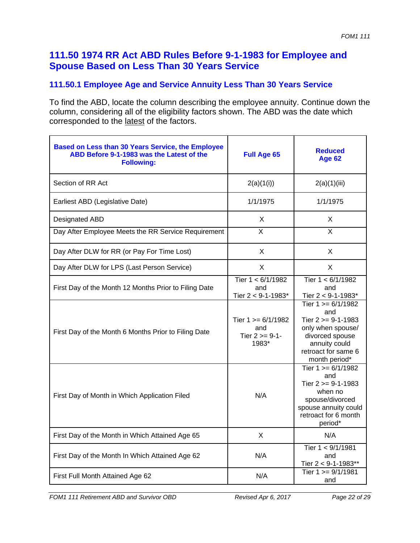## **111.50 1974 RR Act ABD Rules Before 9-1-1983 for Employee and Spouse Based on Less Than 30 Years Service**

## **111.50.1 Employee Age and Service Annuity Less Than 30 Years Service**

| Based on Less than 30 Years Service, the Employee<br>ABD Before 9-1-1983 was the Latest of the<br><b>Following:</b> | <b>Full Age 65</b>                                        | <b>Reduced</b><br><b>Age 62</b>                                                                                                                     |
|---------------------------------------------------------------------------------------------------------------------|-----------------------------------------------------------|-----------------------------------------------------------------------------------------------------------------------------------------------------|
| Section of RR Act                                                                                                   | 2(a)(1(i))                                                | 2(a)(1)(iii)                                                                                                                                        |
| Earliest ABD (Legislative Date)                                                                                     | 1/1/1975                                                  | 1/1/1975                                                                                                                                            |
| Designated ABD                                                                                                      | X                                                         | X                                                                                                                                                   |
| Day After Employee Meets the RR Service Requirement                                                                 | $\overline{X}$                                            | X                                                                                                                                                   |
| Day After DLW for RR (or Pay For Time Lost)                                                                         | X                                                         | X                                                                                                                                                   |
| Day After DLW for LPS (Last Person Service)                                                                         | X                                                         | X                                                                                                                                                   |
| First Day of the Month 12 Months Prior to Filing Date                                                               | Tier $1 < 6/1/1982$<br>and<br>Tier 2 < 9-1-1983*          | Tier $1 < 6/1/1982$<br>and<br>Tier 2 < 9-1-1983*                                                                                                    |
| First Day of the Month 6 Months Prior to Filing Date                                                                | Tier $1 \ge 6/1/1982$<br>and<br>Tier $2 >= 9-1-$<br>1983* | Tier $1 > = 6/1/1982$<br>and<br>Tier 2 >= 9-1-1983<br>only when spouse/<br>divorced spouse<br>annuity could<br>retroact for same 6<br>month period* |
| First Day of Month in Which Application Filed                                                                       | N/A                                                       | Tier $1 \ge 6/1/1982$<br>and<br>Tier $2 \ge 9 - 1 - 1983$<br>when no<br>spouse/divorced<br>spouse annuity could<br>retroact for 6 month<br>period*  |
| First Day of the Month in Which Attained Age 65                                                                     | $\sf X$                                                   | N/A                                                                                                                                                 |
| First Day of the Month In Which Attained Age 62                                                                     | N/A                                                       | Tier 1 < 9/1/1981<br>and<br>Tier $2 < 9 - 1 - 1983**$                                                                                               |
| First Full Month Attained Age 62                                                                                    | N/A                                                       | Tier $1 = \frac{9}{1/1981}$<br>and                                                                                                                  |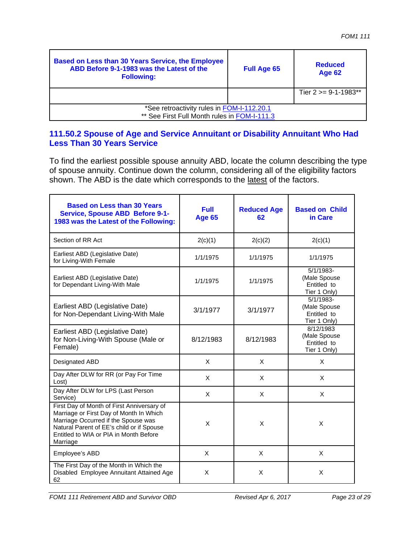| Based on Less than 30 Years Service, the Employee<br>ABD Before 9-1-1983 was the Latest of the<br><b>Following:</b> | <b>Full Age 65</b> | <b>Reduced</b><br><b>Age 62</b> |
|---------------------------------------------------------------------------------------------------------------------|--------------------|---------------------------------|
|                                                                                                                     |                    | Tier $2 \le 9 - 1 - 1983$ **    |
| *See retroactivity rules in FOM-I-112.20.1<br>** See First Full Month rules in FOM-I-111.3                          |                    |                                 |

#### **111.50.2 Spouse of Age and Service Annuitant or Disability Annuitant Who Had Less Than 30 Years Service**

To find the earliest possible spouse annuity ABD, locate the column describing the type of spouse annuity. Continue down the column, considering all of the eligibility factors shown. The ABD is the date which corresponds to the latest of the factors.

| <b>Based on Less than 30 Years</b><br><b>Service, Spouse ABD Before 9-1-</b><br>1983 was the Latest of the Following:                                                                                                           | <b>Full</b><br><b>Age 65</b> | <b>Reduced Age</b><br>62 | <b>Based on Child</b><br>in Care                           |
|---------------------------------------------------------------------------------------------------------------------------------------------------------------------------------------------------------------------------------|------------------------------|--------------------------|------------------------------------------------------------|
| Section of RR Act                                                                                                                                                                                                               | 2(c)(1)                      | 2(c)(2)                  | 2(c)(1)                                                    |
| Earliest ABD (Legislative Date)<br>for Living-With Female                                                                                                                                                                       | 1/1/1975                     | 1/1/1975                 | 1/1/1975                                                   |
| Earliest ABD (Legislative Date)<br>for Dependant Living-With Male                                                                                                                                                               | 1/1/1975                     | 1/1/1975                 | $5/1/1983-$<br>(Male Spouse<br>Entitled to<br>Tier 1 Only) |
| Earliest ABD (Legislative Date)<br>for Non-Dependant Living-With Male                                                                                                                                                           | 3/1/1977                     | 3/1/1977                 | $5/1/1983-$<br>(Male Spouse<br>Entitled to<br>Tier 1 Only) |
| Earliest ABD (Legislative Date)<br>for Non-Living-With Spouse (Male or<br>Female)                                                                                                                                               | 8/12/1983                    | 8/12/1983                | 8/12/1983<br>(Male Spouse<br>Entitled to<br>Tier 1 Only)   |
| Designated ABD                                                                                                                                                                                                                  | X                            | X                        | X                                                          |
| Day After DLW for RR (or Pay For Time<br>Lost)                                                                                                                                                                                  | $\mathsf{x}$                 | X                        | X                                                          |
| Day After DLW for LPS (Last Person<br>Service)                                                                                                                                                                                  | X                            | X                        | X                                                          |
| First Day of Month of First Anniversary of<br>Marriage or First Day of Month In Which<br>Marriage Occurred if the Spouse was<br>Natural Parent of EE's child or if Spouse<br>Entitled to WIA or PIA in Month Before<br>Marriage | X                            | X                        | X                                                          |
| Employee's ABD                                                                                                                                                                                                                  | X                            | X                        | X                                                          |
| The First Day of the Month in Which the<br>Disabled Employee Annuitant Attained Age<br>62                                                                                                                                       | X                            | X                        | X                                                          |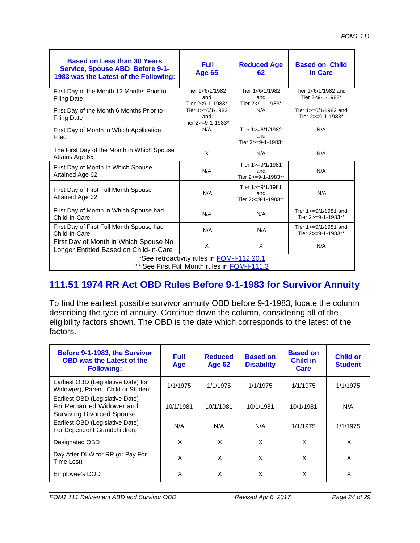| <b>Based on Less than 30 Years</b><br><b>Service, Spouse ABD Before 9-1-</b><br>1983 was the Latest of the Following: | <b>Full</b><br><b>Age 65</b>                 | <b>Reduced Age</b><br>62                      | <b>Based on Child</b><br>in Care           |  |
|-----------------------------------------------------------------------------------------------------------------------|----------------------------------------------|-----------------------------------------------|--------------------------------------------|--|
| First Day of the Month 12 Months Prior to<br><b>Filing Date</b>                                                       | Tier 1<6/1/1982<br>and<br>Tier 2<9-1-1983*   | Tier 1<6/1/1982<br>and<br>Tier 2<9-1-1983*    | Tier 1<6/1/1982 and<br>Tier 2<9-1-1983*    |  |
| First Day of the Month 6 Months Prior to<br><b>Filing Date</b>                                                        | Tier 1>=6/1/1982<br>and<br>Tier 2>=9-1-1983* | N/A                                           | Tier 1>=6/1/1982 and<br>Tier 2>=9-1-1983*  |  |
| First Day of Month in Which Application<br>Filed                                                                      | N/A                                          | Tier 1>=6/1/1982<br>and<br>Tier 2>=9-1-1983*  | N/A                                        |  |
| The First Day of the Month in Which Spouse<br>Attains Age 65                                                          | X                                            | N/A                                           | N/A                                        |  |
| First Day of Month In Which Spouse<br>Attained Age 62                                                                 | N/A                                          | Tier 1>=9/1/1981<br>and<br>Tier 2>=9-1-1983** | N/A                                        |  |
| First Day of First Full Month Spouse<br>Attained Age 62                                                               | N/A                                          | Tier 1>=9/1/1981<br>and<br>Tier 2>=9-1-1983** | N/A                                        |  |
| First Day of Month in Which Spouse had<br>Child-In-Care                                                               | N/A                                          | N/A                                           | Tier 1>=9/1/1981 and<br>Tier 2>=9-1-1983** |  |
| First Day of First Full Month Spouse had<br>Child-In-Care                                                             | N/A                                          | N/A                                           | Tier 1>=9/1/1981 and<br>Tier 2>=9-1-1983** |  |
| First Day of Month in Which Spouse No<br>Longer Entitled Based on Child-in-Care                                       | X                                            | X                                             | N/A                                        |  |
| *See retroactivity rules in FOM-I-112.20.1<br>** See First Full Month rules in FOM-I-111.3                            |                                              |                                               |                                            |  |

## **111.51 1974 RR Act OBD Rules Before 9-1-1983 for Survivor Annuity**

To find the earliest possible survivor annuity OBD before 9-1-1983, locate the column describing the type of annuity. Continue down the column, considering all of the eligibility factors shown. The OBD is the date which corresponds to the latest of the factors.

| Before 9-1-1983, the Survivor<br><b>OBD was the Latest of the</b><br><b>Following:</b>           | <b>Full</b><br>Age | <b>Reduced</b><br><b>Age 62</b> | <b>Based on</b><br><b>Disability</b> | <b>Based on</b><br><b>Child in</b><br>Care | <b>Child or</b><br><b>Student</b> |
|--------------------------------------------------------------------------------------------------|--------------------|---------------------------------|--------------------------------------|--------------------------------------------|-----------------------------------|
| Earliest OBD (Legislative Date) for<br>Widow(er), Parent, Child or Student                       | 1/1/1975           | 1/1/1975                        | 1/1/1975                             | 1/1/1975                                   | 1/1/1975                          |
| Earliest OBD (Legislative Date)<br>For Remarried Widower and<br><b>Surviving Divorced Spouse</b> | 10/1/1981          | 10/1/1981                       | 10/1/1981                            | 10/1/1981                                  | N/A                               |
| Earliest OBD (Legislative Date)<br>For Dependent Grandchildren,                                  | N/A                | N/A                             | N/A                                  | 1/1/1975                                   | 1/1/1975                          |
| Designated OBD                                                                                   | X                  | X                               | X                                    | X                                          | X                                 |
| Day After DLW for RR (or Pay For<br>Time Lost)                                                   | X                  | X                               | X                                    | X                                          | X                                 |
| Employee's DOD                                                                                   | X                  | X                               | X                                    | X                                          | X                                 |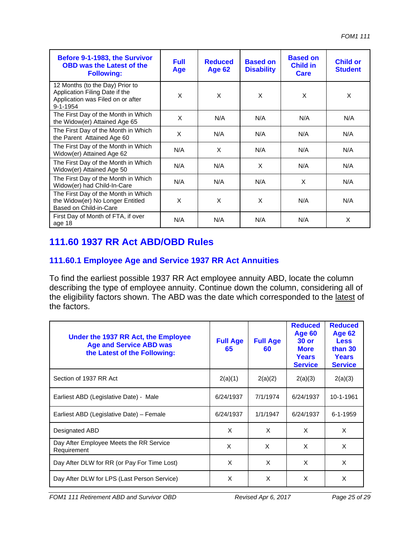| Before 9-1-1983, the Survivor<br><b>OBD was the Latest of the</b><br><b>Following:</b>                                   | <b>Full</b><br>Age | <b>Reduced</b><br><b>Age 62</b> | <b>Based on</b><br><b>Disability</b> | <b>Based on</b><br><b>Child in</b><br>Care | <b>Child or</b><br><b>Student</b> |
|--------------------------------------------------------------------------------------------------------------------------|--------------------|---------------------------------|--------------------------------------|--------------------------------------------|-----------------------------------|
| 12 Months (to the Day) Prior to<br>Application Filing Date if the<br>Application was Filed on or after<br>$9 - 1 - 1954$ | X                  | X                               | X                                    | X                                          | X                                 |
| The First Day of the Month in Which<br>the Widow(er) Attained Age 65                                                     | X                  | N/A                             | N/A                                  | N/A                                        | N/A                               |
| The First Day of the Month in Which<br>the Parent Attained Age 60                                                        | X                  | N/A                             | N/A                                  | N/A                                        | N/A                               |
| The First Day of the Month in Which<br>Widow(er) Attained Age 62                                                         | N/A                | $\times$                        | N/A                                  | N/A                                        | N/A                               |
| The First Day of the Month in Which<br>Widow(er) Attained Age 50                                                         | N/A                | N/A                             | X                                    | N/A                                        | N/A                               |
| The First Day of the Month in Which<br>Widow(er) had Child-In-Care                                                       | N/A                | N/A                             | N/A                                  | X                                          | N/A                               |
| The First Day of the Month in Which<br>the Widow(er) No Longer Entitled<br>Based on Child-in-Care                        | X                  | X                               | X                                    | N/A                                        | N/A                               |
| First Day of Month of FTA, if over<br>age 18                                                                             | N/A                | N/A                             | N/A                                  | N/A                                        | X                                 |

## **111.60 1937 RR Act ABD/OBD Rules**

## **111.60.1 Employee Age and Service 1937 RR Act Annuities**

To find the earliest possible 1937 RR Act employee annuity ABD, locate the column describing the type of employee annuity. Continue down the column, considering all of the eligibility factors shown. The ABD was the date which corresponded to the latest of the factors.

| Under the 1937 RR Act, the Employee<br><b>Age and Service ABD was</b><br>the Latest of the Following: | <b>Full Age</b><br>65 | <b>Full Age</b><br>60 | <b>Reduced</b><br><b>Age 60</b><br>$30$ or<br><b>More</b><br><b>Years</b><br><b>Service</b> | <b>Reduced</b><br><b>Age 62</b><br><b>Less</b><br>than 30<br>Years<br><b>Service</b> |
|-------------------------------------------------------------------------------------------------------|-----------------------|-----------------------|---------------------------------------------------------------------------------------------|--------------------------------------------------------------------------------------|
| Section of 1937 RR Act                                                                                | 2(a)(1)               | 2(a)(2)               | 2(a)(3)                                                                                     | 2(a)(3)                                                                              |
| Earliest ABD (Legislative Date) - Male                                                                | 6/24/1937             | 7/1/1974              | 6/24/1937                                                                                   | 10-1-1961                                                                            |
| Earliest ABD (Legislative Date) - Female                                                              | 6/24/1937             | 1/1/1947              | 6/24/1937                                                                                   | $6 - 1 - 1959$                                                                       |
| Designated ABD                                                                                        | X                     | X                     | X                                                                                           | X                                                                                    |
| Day After Employee Meets the RR Service<br>Requirement                                                | X                     | X                     | X                                                                                           | X                                                                                    |
| Day After DLW for RR (or Pay For Time Lost)                                                           | X                     | X                     | X                                                                                           | X                                                                                    |
| Day After DLW for LPS (Last Person Service)                                                           | X                     | X                     | X                                                                                           | X                                                                                    |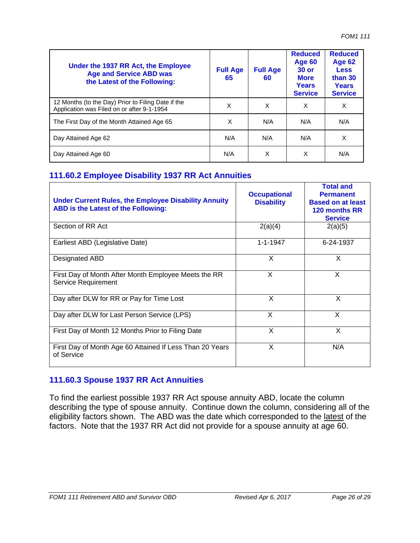| Under the 1937 RR Act, the Employee<br><b>Age and Service ABD was</b><br>the Latest of the Following: | <b>Full Age</b><br>65 | <b>Full Age</b><br>60 | <b>Reduced</b><br>Age 60<br><b>30 or</b><br><b>More</b><br><b>Years</b><br><b>Service</b> | <b>Reduced</b><br><b>Age 62</b><br><b>Less</b><br>than 30<br><b>Years</b><br><b>Service</b> |
|-------------------------------------------------------------------------------------------------------|-----------------------|-----------------------|-------------------------------------------------------------------------------------------|---------------------------------------------------------------------------------------------|
| 12 Months (to the Day) Prior to Filing Date if the<br>Application was Filed on or after 9-1-1954      | X                     | X                     | X                                                                                         | X                                                                                           |
| The First Day of the Month Attained Age 65                                                            | X                     | N/A                   | N/A                                                                                       | N/A                                                                                         |
| Day Attained Age 62                                                                                   | N/A                   | N/A                   | N/A                                                                                       | X                                                                                           |
| Day Attained Age 60                                                                                   | N/A                   | X                     | X                                                                                         | N/A                                                                                         |

#### **111.60.2 Employee Disability 1937 RR Act Annuities**

| <b>Under Current Rules, the Employee Disability Annuity</b><br>ABD is the Latest of the Following: | <b>Occupational</b><br><b>Disability</b> | <b>Total and</b><br><b>Permanent</b><br><b>Based on at least</b><br>120 months RR<br><b>Service</b> |
|----------------------------------------------------------------------------------------------------|------------------------------------------|-----------------------------------------------------------------------------------------------------|
| Section of RR Act                                                                                  | 2(a)(4)                                  | 2(a)(5)                                                                                             |
| Earliest ABD (Legislative Date)                                                                    | $1 - 1 - 1947$                           | 6-24-1937                                                                                           |
| Designated ABD                                                                                     | X                                        | X                                                                                                   |
| First Day of Month After Month Employee Meets the RR<br><b>Service Requirement</b>                 | X                                        | X                                                                                                   |
| Day after DLW for RR or Pay for Time Lost                                                          | X                                        | X                                                                                                   |
| Day after DLW for Last Person Service (LPS)                                                        | X                                        | X                                                                                                   |
| First Day of Month 12 Months Prior to Filing Date                                                  | X                                        | X                                                                                                   |
| First Day of Month Age 60 Attained If Less Than 20 Years<br>of Service                             | X                                        | N/A                                                                                                 |

#### **111.60.3 Spouse 1937 RR Act Annuities**

To find the earliest possible 1937 RR Act spouse annuity ABD, locate the column describing the type of spouse annuity. Continue down the column, considering all of the eligibility factors shown. The ABD was the date which corresponded to the latest of the factors. Note that the 1937 RR Act did not provide for a spouse annuity at age 60.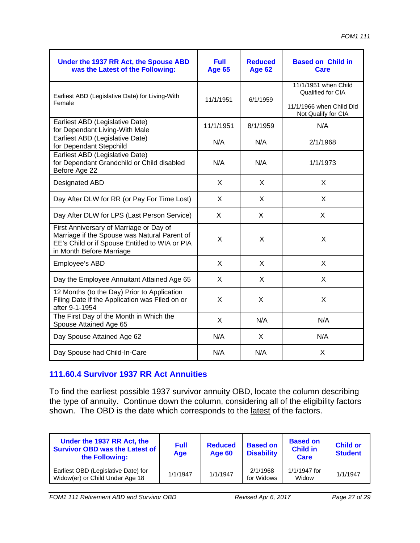| Under the 1937 RR Act, the Spouse ABD<br>was the Latest of the Following:                                                                                             | <b>Full</b><br><b>Age 65</b> | <b>Reduced</b><br><b>Age 62</b> | <b>Based on Child in</b><br>Care                                                             |
|-----------------------------------------------------------------------------------------------------------------------------------------------------------------------|------------------------------|---------------------------------|----------------------------------------------------------------------------------------------|
| Earliest ABD (Legislative Date) for Living-With<br>Female                                                                                                             | 11/1/1951                    | 6/1/1959                        | 11/1/1951 when Child<br>Qualified for CIA<br>11/1/1966 when Child Did<br>Not Qualify for CIA |
| Earliest ABD (Legislative Date)<br>for Dependant Living-With Male                                                                                                     | 11/1/1951                    | 8/1/1959                        | N/A                                                                                          |
| Earliest ABD (Legislative Date)<br>for Dependant Stepchild                                                                                                            | N/A                          | N/A                             | 2/1/1968                                                                                     |
| Earliest ABD (Legislative Date)<br>for Dependant Grandchild or Child disabled<br>Before Age 22                                                                        | N/A                          | N/A                             | 1/1/1973                                                                                     |
| Designated ABD                                                                                                                                                        | X                            | X                               | X                                                                                            |
| Day After DLW for RR (or Pay For Time Lost)                                                                                                                           | X                            | X                               | X                                                                                            |
| Day After DLW for LPS (Last Person Service)                                                                                                                           | X                            | X                               | X                                                                                            |
| First Anniversary of Marriage or Day of<br>Marriage if the Spouse was Natural Parent of<br>EE's Child or if Spouse Entitled to WIA or PIA<br>in Month Before Marriage | X                            | X                               | X                                                                                            |
| Employee's ABD                                                                                                                                                        | X                            | X                               | X                                                                                            |
| Day the Employee Annuitant Attained Age 65                                                                                                                            | X                            | X                               | X                                                                                            |
| 12 Months (to the Day) Prior to Application<br>Filing Date if the Application was Filed on or<br>after 9-1-1954                                                       | X                            | X                               | X                                                                                            |
| The First Day of the Month in Which the<br>Spouse Attained Age 65                                                                                                     | X                            | N/A                             | N/A                                                                                          |
| Day Spouse Attained Age 62                                                                                                                                            | N/A                          | X                               | N/A                                                                                          |
| Day Spouse had Child-In-Care                                                                                                                                          | N/A                          | N/A                             | X                                                                                            |

## **111.60.4 Survivor 1937 RR Act Annuities**

To find the earliest possible 1937 survivor annuity OBD, locate the column describing the type of annuity. Continue down the column, considering all of the eligibility factors shown. The OBD is the date which corresponds to the latest of the factors.

| Under the 1937 RR Act, the<br><b>Survivor OBD was the Latest of</b><br>the Following: | <b>Full</b><br>Age | <b>Reduced</b><br>Age 60 | <b>Based on</b><br><b>Disability</b> | <b>Based on</b><br><b>Child in</b><br>Care | <b>Child or</b><br><b>Student</b> |
|---------------------------------------------------------------------------------------|--------------------|--------------------------|--------------------------------------|--------------------------------------------|-----------------------------------|
| Earliest OBD (Legislative Date) for<br>Widow(er) or Child Under Age 18                | 1/1/1947           | 1/1/1947                 | 2/1/1968<br>for Widows               | $1/1/1947$ for<br>Widow                    | 1/1/1947                          |